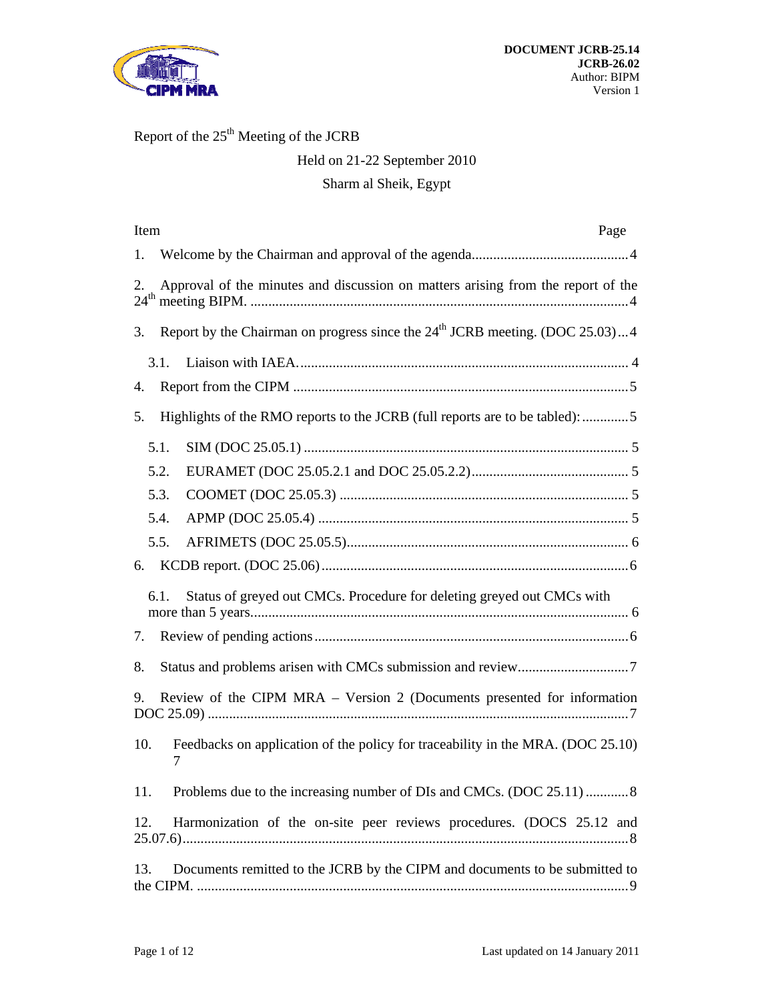

# Report of the  $25<sup>th</sup>$  Meeting of the JCRB

# Held on 21-22 September 2010

## Sharm al Sheik, Egypt

| Item<br>Page                                                                           |  |  |  |
|----------------------------------------------------------------------------------------|--|--|--|
| 1.                                                                                     |  |  |  |
| Approval of the minutes and discussion on matters arising from the report of the<br>2. |  |  |  |
| Report by the Chairman on progress since the $24th$ JCRB meeting. (DOC 25.03)4<br>3.   |  |  |  |
| 3.1.                                                                                   |  |  |  |
| 4.                                                                                     |  |  |  |
| Highlights of the RMO reports to the JCRB (full reports are to be tabled): 5<br>5.     |  |  |  |
| 5.1.                                                                                   |  |  |  |
| 5.2.                                                                                   |  |  |  |
| 5.3.                                                                                   |  |  |  |
| 5.4.                                                                                   |  |  |  |
| 5.5.                                                                                   |  |  |  |
|                                                                                        |  |  |  |
| Status of greyed out CMCs. Procedure for deleting greyed out CMCs with<br>6.1.         |  |  |  |
| 7.                                                                                     |  |  |  |
| 8.                                                                                     |  |  |  |
| Review of the CIPM MRA – Version 2 (Documents presented for information<br>9.          |  |  |  |
| Feedbacks on application of the policy for traceability in the MRA. (DOC 25.10)<br>10. |  |  |  |
| Problems due to the increasing number of DIs and CMCs. (DOC 25.11) 8<br>11.            |  |  |  |
| Harmonization of the on-site peer reviews procedures. (DOCS 25.12 and<br>12.           |  |  |  |
| Documents remitted to the JCRB by the CIPM and documents to be submitted to<br>13.     |  |  |  |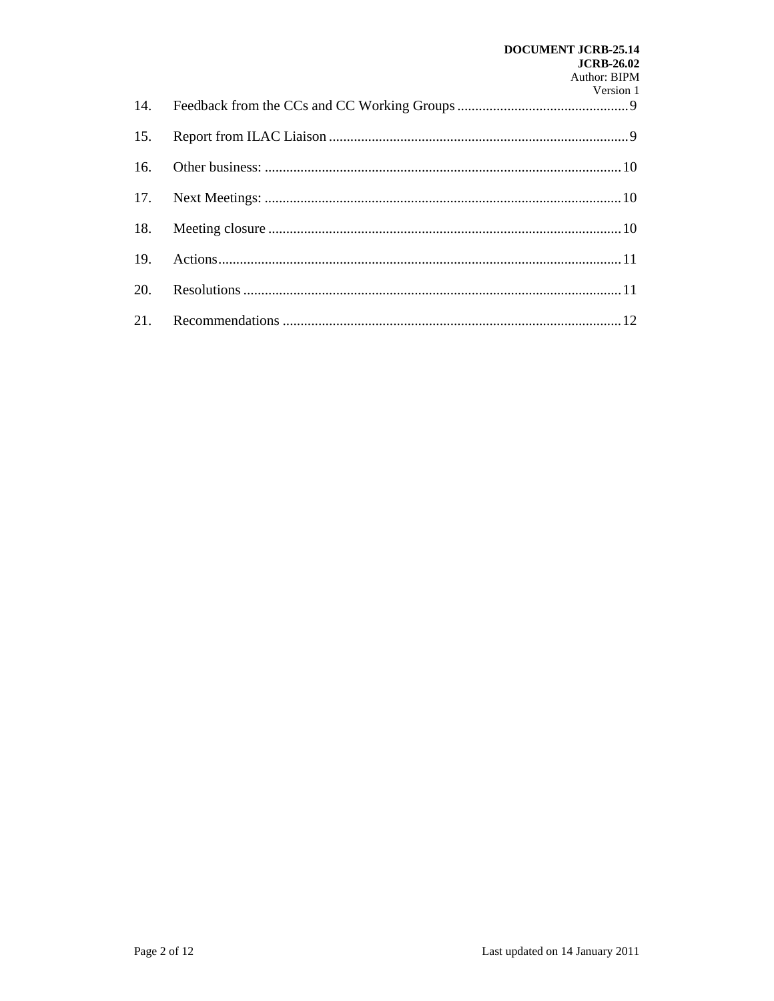# **DOCUMENT JCRB-25.14 JCRB-26.02** Author: BIPM

|  | Version 1 |
|--|-----------|
|  |           |
|  |           |
|  |           |
|  |           |
|  |           |
|  |           |
|  |           |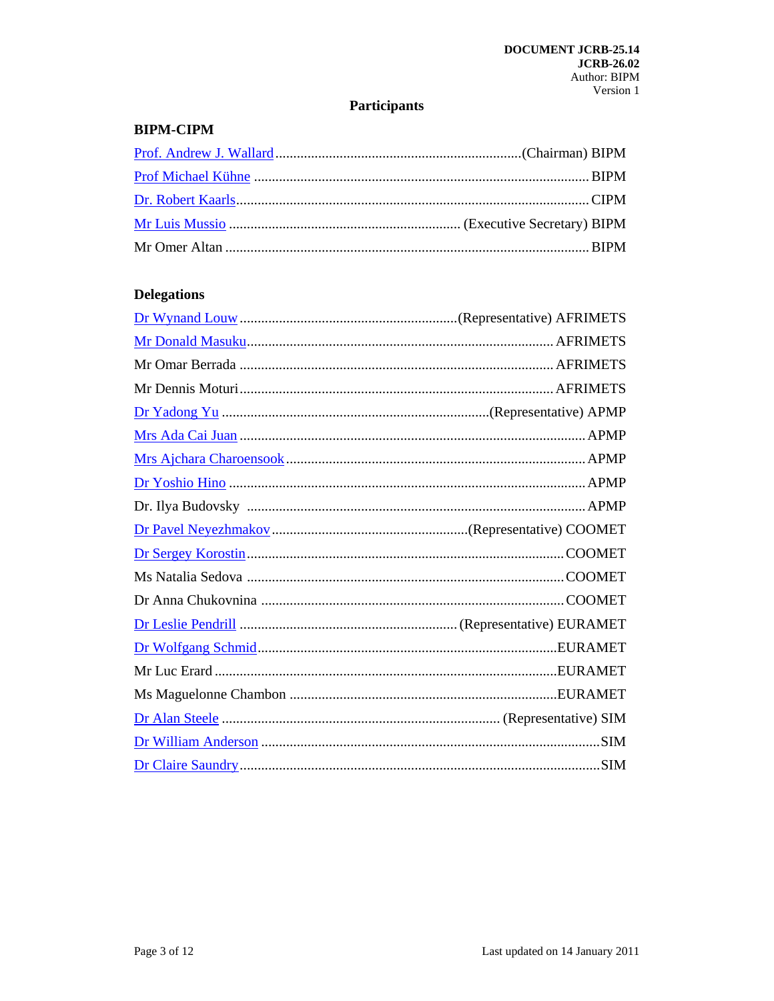# **Participants**

## **BIPM-CIPM**

## **Delegations**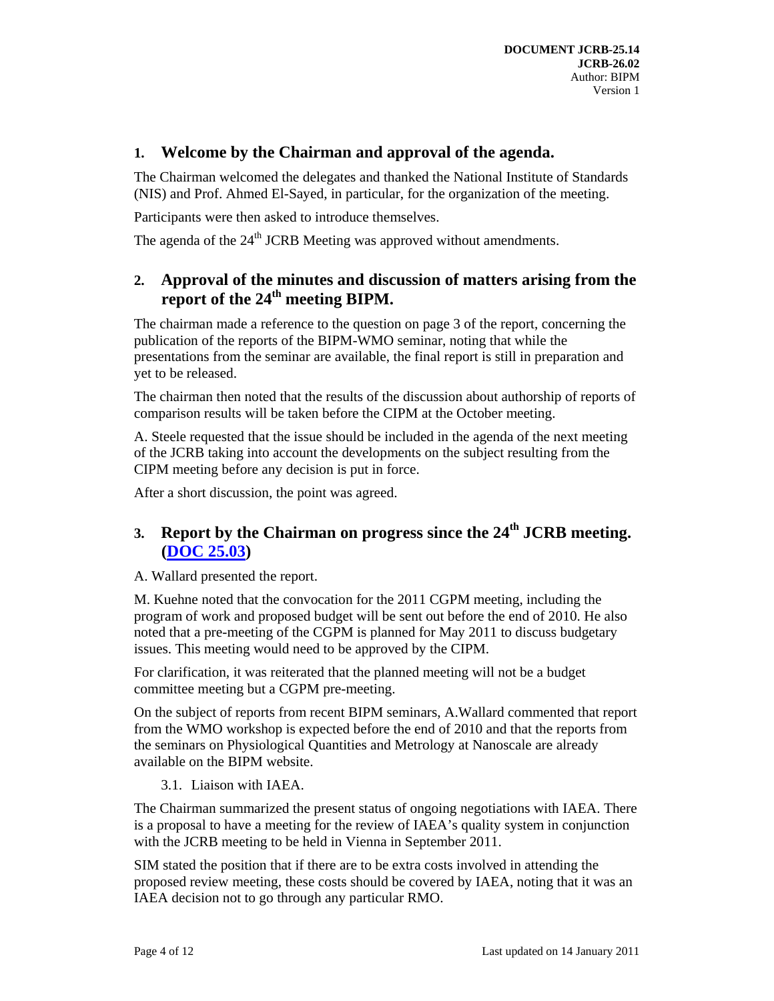#### **1. Welcome by the Chairman and approval of the agenda.**

The Chairman welcomed the delegates and thanked the National Institute of Standards (NIS) and Prof. Ahmed El-Sayed, in particular, for the organization of the meeting.

Participants were then asked to introduce themselves.

The agenda of the 24<sup>th</sup> JCRB Meeting was approved without amendments.

### **2. Approval of the minutes and discussion of matters arising from the report of the 24th meeting BIPM.**

The chairman made a reference to the question on page 3 of the report, concerning the publication of the reports of the BIPM-WMO seminar, noting that while the presentations from the seminar are available, the final report is still in preparation and yet to be released.

The chairman then noted that the results of the discussion about authorship of reports of comparison results will be taken before the CIPM at the October meeting.

A. Steele requested that the issue should be included in the agenda of the next meeting of the JCRB taking into account the developments on the subject resulting from the CIPM meeting before any decision is put in force.

After a short discussion, the point was agreed.

# **3. Report by the Chairman on progress since the 24th JCRB meeting. (DOC 25.03)**

A. Wallard presented the report.

M. Kuehne noted that the convocation for the 2011 CGPM meeting, including the program of work and proposed budget will be sent out before the end of 2010. He also noted that a pre-meeting of the CGPM is planned for May 2011 to discuss budgetary issues. This meeting would need to be approved by the CIPM.

For clarification, it was reiterated that the planned meeting will not be a budget committee meeting but a CGPM pre-meeting.

On the subject of reports from recent BIPM seminars, A.Wallard commented that report from the WMO workshop is expected before the end of 2010 and that the reports from the seminars on Physiological Quantities and Metrology at Nanoscale are already available on the BIPM website.

3.1. Liaison with IAEA.

The Chairman summarized the present status of ongoing negotiations with IAEA. There is a proposal to have a meeting for the review of IAEA's quality system in conjunction with the JCRB meeting to be held in Vienna in September 2011.

SIM stated the position that if there are to be extra costs involved in attending the proposed review meeting, these costs should be covered by IAEA, noting that it was an IAEA decision not to go through any particular RMO.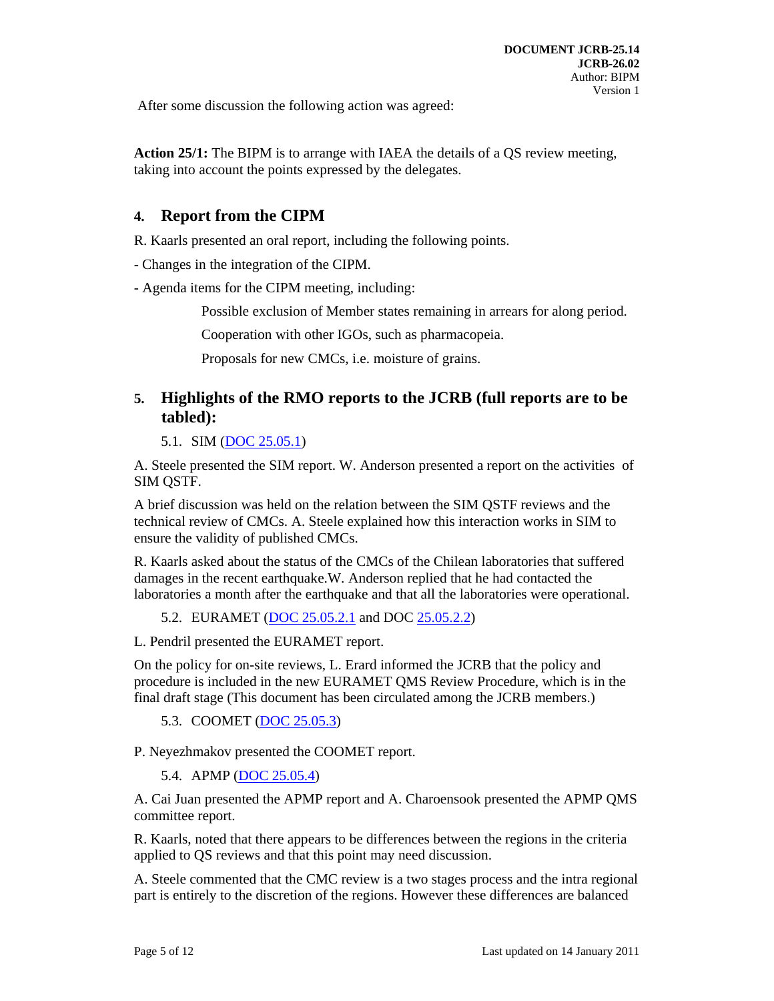After some discussion the following action was agreed:

**Action 25/1:** The BIPM is to arrange with IAEA the details of a QS review meeting, taking into account the points expressed by the delegates.

#### **4. Report from the CIPM**

R. Kaarls presented an oral report, including the following points.

- Changes in the integration of the CIPM.

- Agenda items for the CIPM meeting, including:

Possible exclusion of Member states remaining in arrears for along period.

Cooperation with other IGOs, such as pharmacopeia.

Proposals for new CMCs, i.e. moisture of grains.

### **5. Highlights of the RMO reports to the JCRB (full reports are to be tabled):**

5.1. SIM (DOC 25.05.1)

A. Steele presented the SIM report. W. Anderson presented a report on the activities of SIM QSTF.

A brief discussion was held on the relation between the SIM QSTF reviews and the technical review of CMCs. A. Steele explained how this interaction works in SIM to ensure the validity of published CMCs.

R. Kaarls asked about the status of the CMCs of the Chilean laboratories that suffered damages in the recent earthquake.W. Anderson replied that he had contacted the laboratories a month after the earthquake and that all the laboratories were operational.

5.2. EURAMET (DOC 25.05.2.1 and DOC 25.05.2.2)

L. Pendril presented the EURAMET report.

On the policy for on-site reviews, L. Erard informed the JCRB that the policy and procedure is included in the new EURAMET QMS Review Procedure, which is in the final draft stage (This document has been circulated among the JCRB members.)

5.3. COOMET (DOC 25.05.3)

P. Neyezhmakov presented the COOMET report.

5.4. APMP (DOC 25.05.4)

A. Cai Juan presented the APMP report and A. Charoensook presented the APMP QMS committee report.

R. Kaarls, noted that there appears to be differences between the regions in the criteria applied to QS reviews and that this point may need discussion.

A. Steele commented that the CMC review is a two stages process and the intra regional part is entirely to the discretion of the regions. However these differences are balanced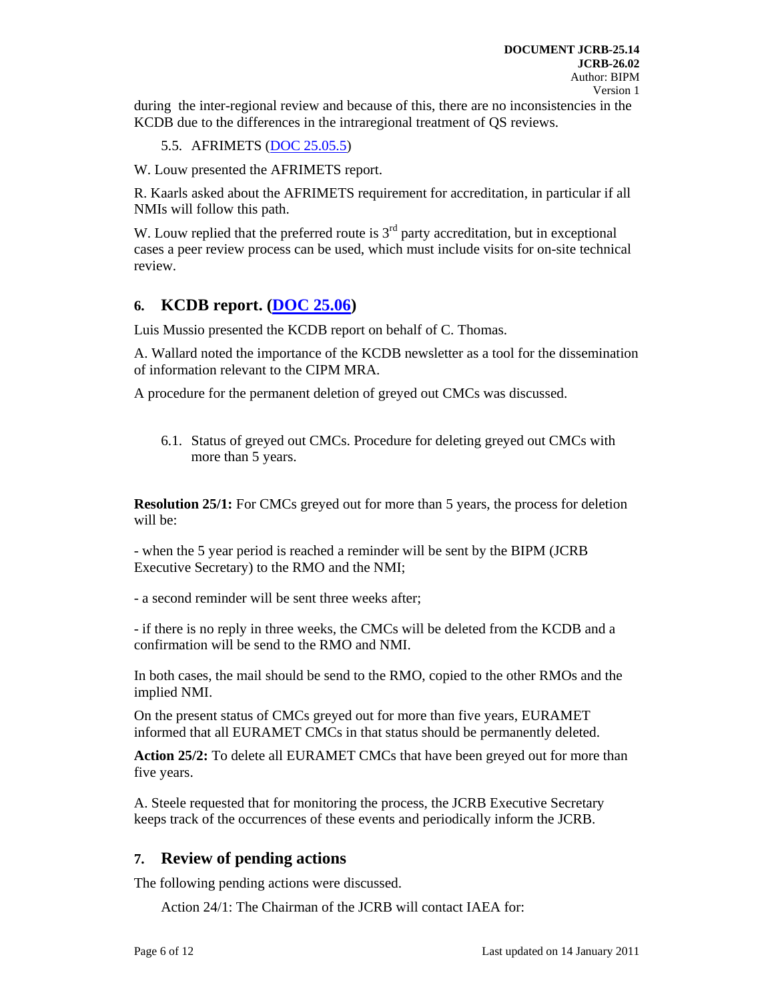during the inter-regional review and because of this, there are no inconsistencies in the KCDB due to the differences in the intraregional treatment of QS reviews.

5.5. AFRIMETS (DOC 25.05.5)

W. Louw presented the AFRIMETS report.

R. Kaarls asked about the AFRIMETS requirement for accreditation, in particular if all NMIs will follow this path.

W. Louw replied that the preferred route is  $3<sup>rd</sup>$  party accreditation, but in exceptional cases a peer review process can be used, which must include visits for on-site technical review.

#### **6. KCDB report. (DOC 25.06)**

Luis Mussio presented the KCDB report on behalf of C. Thomas.

A. Wallard noted the importance of the KCDB newsletter as a tool for the dissemination of information relevant to the CIPM MRA.

A procedure for the permanent deletion of greyed out CMCs was discussed.

6.1. Status of greyed out CMCs. Procedure for deleting greyed out CMCs with more than 5 years.

**Resolution 25/1:** For CMCs greyed out for more than 5 years, the process for deletion will be:

- when the 5 year period is reached a reminder will be sent by the BIPM (JCRB Executive Secretary) to the RMO and the NMI;

- a second reminder will be sent three weeks after;

- if there is no reply in three weeks, the CMCs will be deleted from the KCDB and a confirmation will be send to the RMO and NMI.

In both cases, the mail should be send to the RMO, copied to the other RMOs and the implied NMI.

On the present status of CMCs greyed out for more than five years, EURAMET informed that all EURAMET CMCs in that status should be permanently deleted.

**Action 25/2:** To delete all EURAMET CMCs that have been greyed out for more than five years.

A. Steele requested that for monitoring the process, the JCRB Executive Secretary keeps track of the occurrences of these events and periodically inform the JCRB.

#### **7. Review of pending actions**

The following pending actions were discussed.

Action 24/1: The Chairman of the JCRB will contact IAEA for: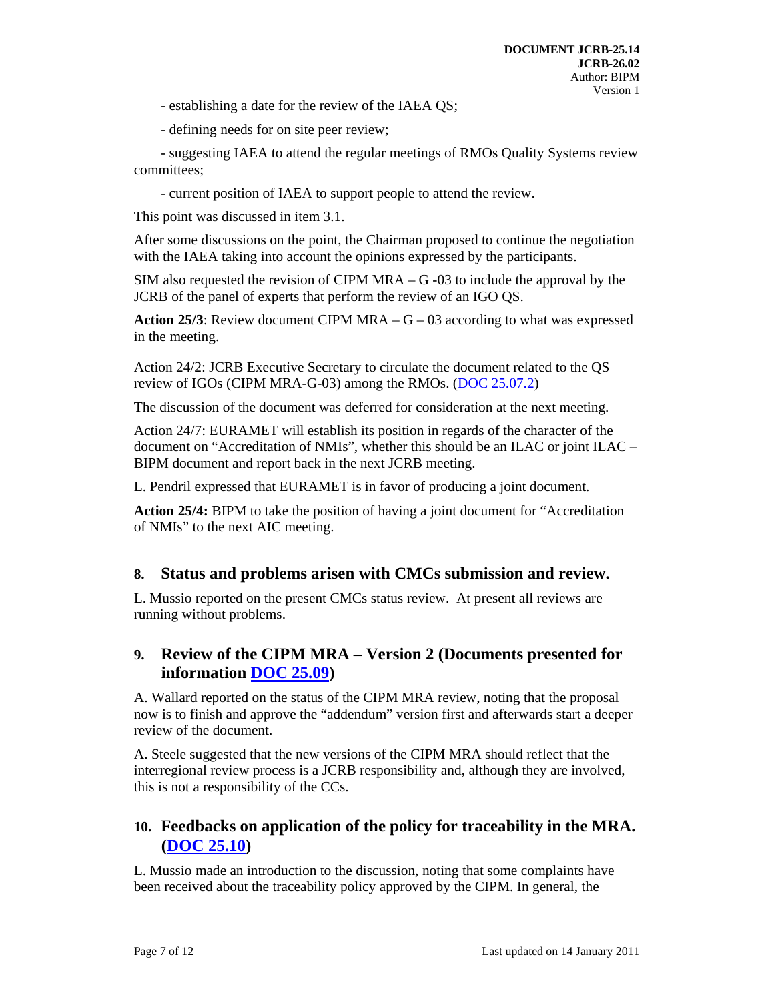- establishing a date for the review of the IAEA QS;

- defining needs for on site peer review;

- suggesting IAEA to attend the regular meetings of RMOs Quality Systems review committees;

- current position of IAEA to support people to attend the review.

This point was discussed in item 3.1.

After some discussions on the point, the Chairman proposed to continue the negotiation with the IAEA taking into account the opinions expressed by the participants.

SIM also requested the revision of CIPM MRA  $-$  G  $-03$  to include the approval by the JCRB of the panel of experts that perform the review of an IGO QS.

**Action 25/3**: Review document CIPM MRA  $-G - 03$  according to what was expressed in the meeting.

Action 24/2: JCRB Executive Secretary to circulate the document related to the QS review of IGOs (CIPM MRA-G-03) among the RMOs. (DOC 25.07.2)

The discussion of the document was deferred for consideration at the next meeting.

Action 24/7: EURAMET will establish its position in regards of the character of the document on "Accreditation of NMIs", whether this should be an ILAC or joint ILAC – BIPM document and report back in the next JCRB meeting.

L. Pendril expressed that EURAMET is in favor of producing a joint document.

**Action 25/4:** BIPM to take the position of having a joint document for "Accreditation of NMIs" to the next AIC meeting.

#### **8. Status and problems arisen with CMCs submission and review.**

L. Mussio reported on the present CMCs status review. At present all reviews are running without problems.

#### **9. Review of the CIPM MRA – Version 2 (Documents presented for information DOC 25.09)**

A. Wallard reported on the status of the CIPM MRA review, noting that the proposal now is to finish and approve the "addendum" version first and afterwards start a deeper review of the document.

A. Steele suggested that the new versions of the CIPM MRA should reflect that the interregional review process is a JCRB responsibility and, although they are involved, this is not a responsibility of the CCs.

## **10. Feedbacks on application of the policy for traceability in the MRA. (DOC 25.10)**

L. Mussio made an introduction to the discussion, noting that some complaints have been received about the traceability policy approved by the CIPM. In general, the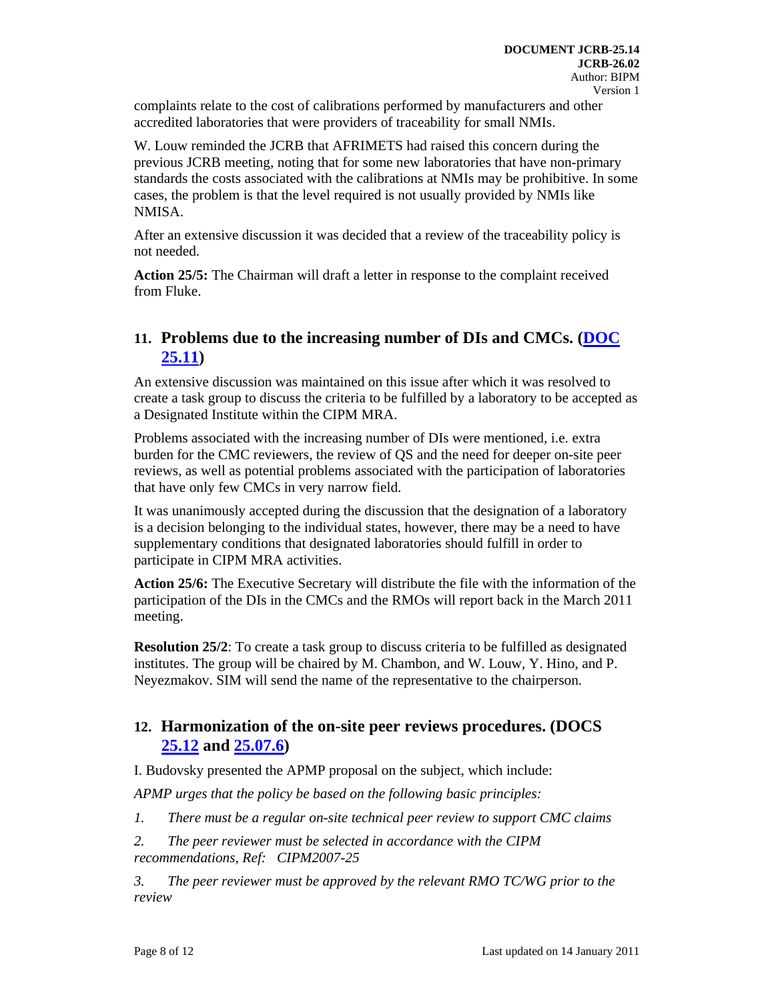complaints relate to the cost of calibrations performed by manufacturers and other accredited laboratories that were providers of traceability for small NMIs.

W. Louw reminded the JCRB that AFRIMETS had raised this concern during the previous JCRB meeting, noting that for some new laboratories that have non-primary standards the costs associated with the calibrations at NMIs may be prohibitive. In some cases, the problem is that the level required is not usually provided by NMIs like NMISA.

After an extensive discussion it was decided that a review of the traceability policy is not needed.

**Action 25/5:** The Chairman will draft a letter in response to the complaint received from Fluke.

## **11. Problems due to the increasing number of DIs and CMCs. (DOC 25.11)**

An extensive discussion was maintained on this issue after which it was resolved to create a task group to discuss the criteria to be fulfilled by a laboratory to be accepted as a Designated Institute within the CIPM MRA.

Problems associated with the increasing number of DIs were mentioned, i.e. extra burden for the CMC reviewers, the review of QS and the need for deeper on-site peer reviews, as well as potential problems associated with the participation of laboratories that have only few CMCs in very narrow field.

It was unanimously accepted during the discussion that the designation of a laboratory is a decision belonging to the individual states, however, there may be a need to have supplementary conditions that designated laboratories should fulfill in order to participate in CIPM MRA activities.

**Action 25/6:** The Executive Secretary will distribute the file with the information of the participation of the DIs in the CMCs and the RMOs will report back in the March 2011 meeting.

**Resolution 25/2:** To create a task group to discuss criteria to be fulfilled as designated institutes. The group will be chaired by M. Chambon, and W. Louw, Y. Hino, and P. Neyezmakov. SIM will send the name of the representative to the chairperson.

## **12. Harmonization of the on-site peer reviews procedures. (DOCS 25.12 and 25.07.6)**

I. Budovsky presented the APMP proposal on the subject, which include:

*APMP urges that the policy be based on the following basic principles:* 

- *1. There must be a regular on-site technical peer review to support CMC claims*
- *2. The peer reviewer must be selected in accordance with the CIPM recommendations, Ref: CIPM2007-25*

*3. The peer reviewer must be approved by the relevant RMO TC/WG prior to the review*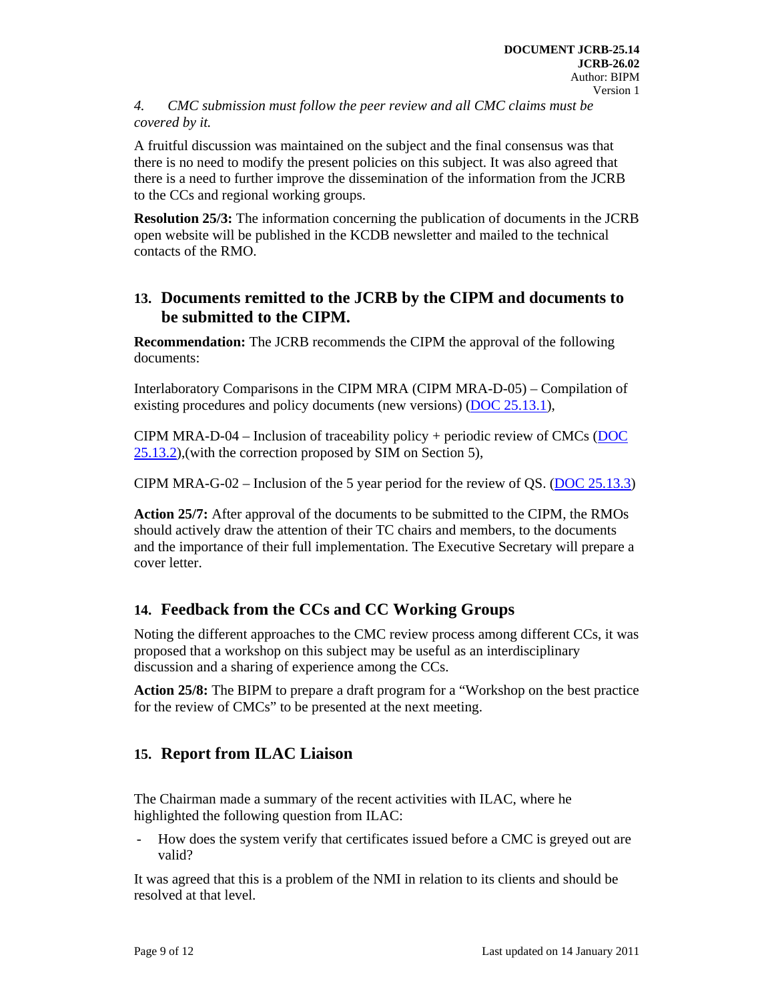*4. CMC submission must follow the peer review and all CMC claims must be covered by it.* 

A fruitful discussion was maintained on the subject and the final consensus was that there is no need to modify the present policies on this subject. It was also agreed that there is a need to further improve the dissemination of the information from the JCRB to the CCs and regional working groups.

**Resolution 25/3:** The information concerning the publication of documents in the JCRB open website will be published in the KCDB newsletter and mailed to the technical contacts of the RMO.

## **13. Documents remitted to the JCRB by the CIPM and documents to be submitted to the CIPM.**

**Recommendation:** The JCRB recommends the CIPM the approval of the following documents:

Interlaboratory Comparisons in the CIPM MRA (CIPM MRA-D-05) – Compilation of existing procedures and policy documents (new versions) (DOC 25.13.1),

CIPM MRA-D-04 – Inclusion of traceability policy + periodic review of CMCs (DOC 25.13.2),(with the correction proposed by SIM on Section 5),

CIPM MRA-G-02 – Inclusion of the 5 year period for the review of QS. (DOC 25.13.3)

**Action 25/7:** After approval of the documents to be submitted to the CIPM, the RMOs should actively draw the attention of their TC chairs and members, to the documents and the importance of their full implementation. The Executive Secretary will prepare a cover letter.

# **14. Feedback from the CCs and CC Working Groups**

Noting the different approaches to the CMC review process among different CCs, it was proposed that a workshop on this subject may be useful as an interdisciplinary discussion and a sharing of experience among the CCs.

**Action 25/8:** The BIPM to prepare a draft program for a "Workshop on the best practice for the review of CMCs" to be presented at the next meeting.

# **15. Report from ILAC Liaison**

The Chairman made a summary of the recent activities with ILAC, where he highlighted the following question from ILAC:

- How does the system verify that certificates issued before a CMC is greyed out are valid?

It was agreed that this is a problem of the NMI in relation to its clients and should be resolved at that level.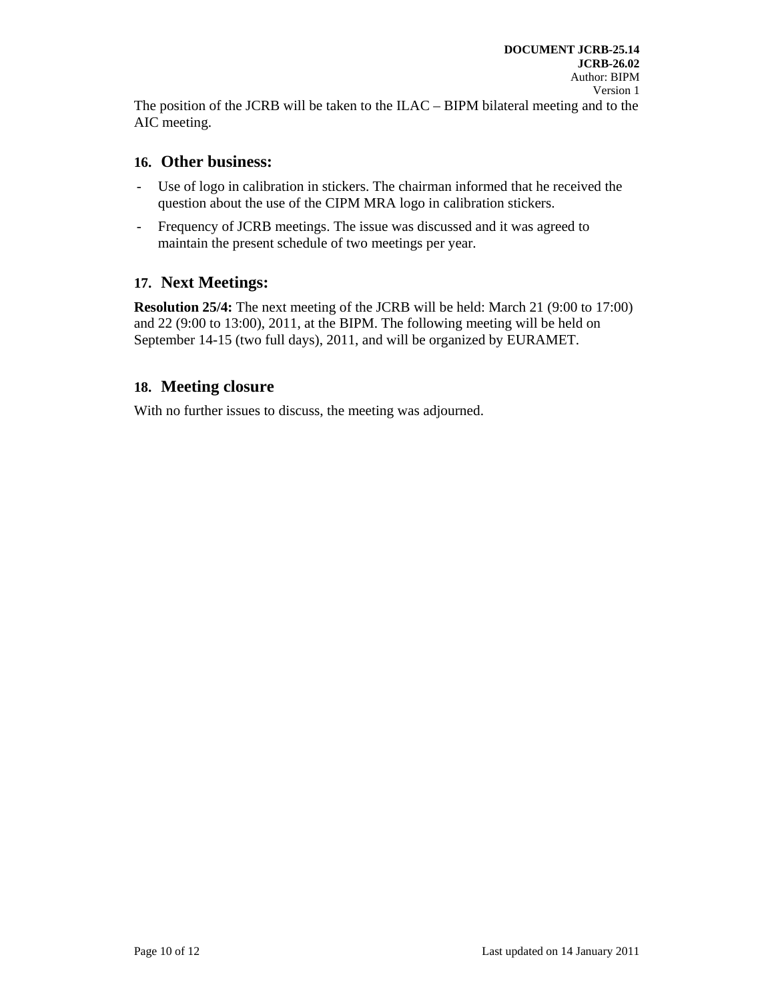The position of the JCRB will be taken to the ILAC – BIPM bilateral meeting and to the AIC meeting.

#### **16. Other business:**

- Use of logo in calibration in stickers. The chairman informed that he received the question about the use of the CIPM MRA logo in calibration stickers.
- Frequency of JCRB meetings. The issue was discussed and it was agreed to maintain the present schedule of two meetings per year.

# **17. Next Meetings:**

**Resolution 25/4:** The next meeting of the JCRB will be held: March 21 (9:00 to 17:00) and 22 (9:00 to 13:00), 2011, at the BIPM. The following meeting will be held on September 14-15 (two full days), 2011, and will be organized by EURAMET.

#### **18. Meeting closure**

With no further issues to discuss, the meeting was adjourned.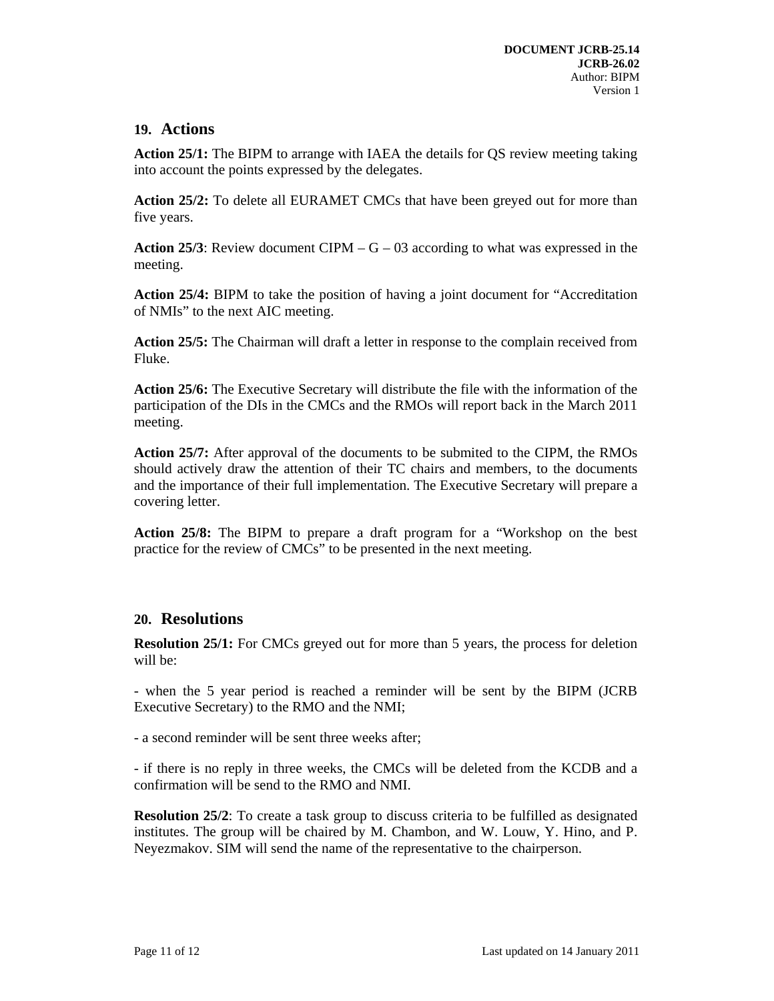#### **19. Actions**

**Action 25/1:** The BIPM to arrange with IAEA the details for QS review meeting taking into account the points expressed by the delegates.

**Action 25/2:** To delete all EURAMET CMCs that have been greyed out for more than five years.

**Action 25/3:** Review document CIPM  $-G - 03$  according to what was expressed in the meeting.

**Action 25/4:** BIPM to take the position of having a joint document for "Accreditation of NMIs" to the next AIC meeting.

**Action 25/5:** The Chairman will draft a letter in response to the complain received from Fluke.

**Action 25/6:** The Executive Secretary will distribute the file with the information of the participation of the DIs in the CMCs and the RMOs will report back in the March 2011 meeting.

**Action 25/7:** After approval of the documents to be submited to the CIPM, the RMOs should actively draw the attention of their TC chairs and members, to the documents and the importance of their full implementation. The Executive Secretary will prepare a covering letter.

**Action 25/8:** The BIPM to prepare a draft program for a "Workshop on the best practice for the review of CMCs" to be presented in the next meeting.

#### **20. Resolutions**

**Resolution 25/1:** For CMCs greyed out for more than 5 years, the process for deletion will be:

- when the 5 year period is reached a reminder will be sent by the BIPM (JCRB Executive Secretary) to the RMO and the NMI;

- a second reminder will be sent three weeks after;

- if there is no reply in three weeks, the CMCs will be deleted from the KCDB and a confirmation will be send to the RMO and NMI.

**Resolution 25/2:** To create a task group to discuss criteria to be fulfilled as designated institutes. The group will be chaired by M. Chambon, and W. Louw, Y. Hino, and P. Neyezmakov. SIM will send the name of the representative to the chairperson.